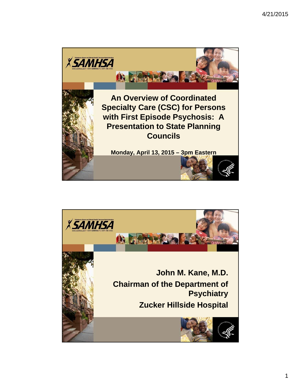

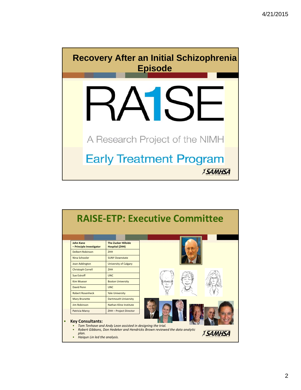

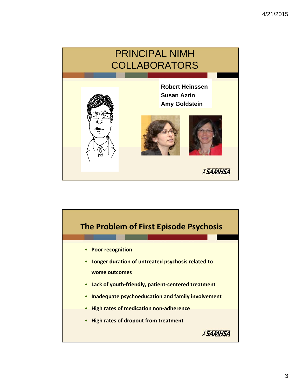

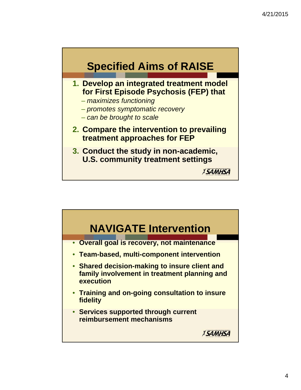

- **1. Develop an integrated treatment model for First Episode Psychosis (FEP) that**
	- *maximizes functioning*
	- *promotes symptomatic recovery*
	- *can be brought to scale*
- **2. Compare the intervention to prevailing treatment approaches for FEP**
- **3. Conduct the study in non-academic, U.S. community treatment settings**

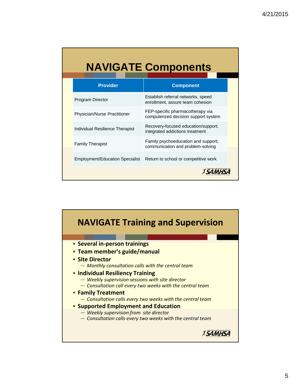# **NAVIGATE Components**

| <b>Provider</b>                        | <b>Component</b>                                                         |
|----------------------------------------|--------------------------------------------------------------------------|
| <b>Program Director</b>                | Establish referral networks, speed<br>enrollment, assure team cohesion   |
| <b>Physician/Nurse Practitioner</b>    | FEP-specific pharmacotherapy via<br>computerized decision support system |
| <b>Individual Resilience Therapist</b> | Recovery-focused education/support;<br>integrated addictions treatment   |
| <b>Family Therapist</b>                | Family psychoeducation and support;<br>communication and problem-solving |
| <b>Employment/Education Specialist</b> | Return to school or competitive work                                     |
|                                        |                                                                          |

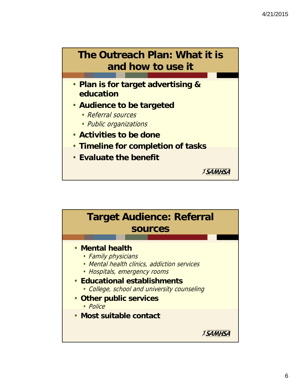

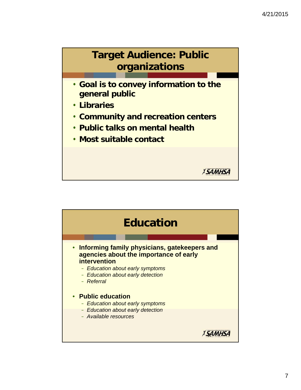

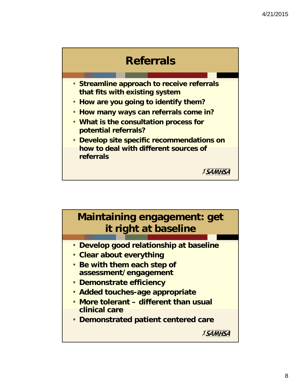

- **Streamline approach to receive referrals that fits with existing system**
- **How are you going to identify them?**
- **How many ways can referrals come in?**
- **What is the consultation process for potential referrals?**
- **Develop site specific recommendations on how to deal with different sources of referrals**

**Maintaining engagement: get it right at baseline**

- **Develop good relationship at baseline**
- **Clear about everything**
- **Be with them each step of assessment/engagement**
- **Demonstrate efficiency**
- **Added touches-age appropriate**
- **More tolerant different than usual clinical care**
- **Demonstrated patient centered care**

*XSAMHSA*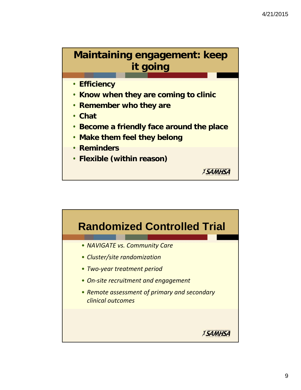## **Maintaining engagement: keep it going**

- **Efficiency**
- **Know when they are coming to clinic**
- **Remember who they are**
- **Chat**
- **Become a friendly face around the place**

- **Make them feel they belong**
- **Reminders**
- **Flexible (within reason)**

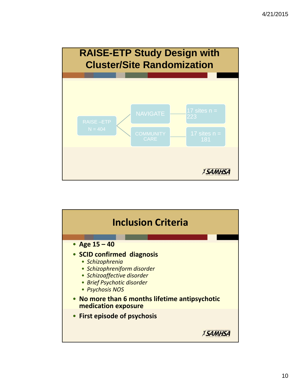

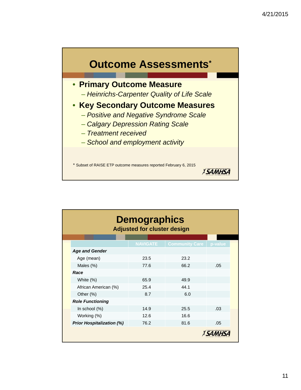

| <b>Demographics</b><br><b>Adjusted for cluster design</b> |                 |                       |         |  |  |  |  |
|-----------------------------------------------------------|-----------------|-----------------------|---------|--|--|--|--|
|                                                           | <b>NAVIGATE</b> | <b>Community Care</b> | p-value |  |  |  |  |
| <b>Age and Gender</b>                                     |                 |                       |         |  |  |  |  |
| Age (mean)                                                | 23.5            | 23.2                  |         |  |  |  |  |
| Males (%)                                                 | 77.6            | 66.2                  | .05     |  |  |  |  |
| Race                                                      |                 |                       |         |  |  |  |  |
| White (%)                                                 | 65.9            | 49.9                  |         |  |  |  |  |
| African American (%)                                      | 25.4            | 44.1                  |         |  |  |  |  |
| Other (%)                                                 | 8.7             | 6.0                   |         |  |  |  |  |
| <b>Role Functioning</b>                                   |                 |                       |         |  |  |  |  |
| In school (%)                                             | 14.9            | 25.5                  | .03     |  |  |  |  |
| Working (%)                                               | 12.6            | 16.6                  |         |  |  |  |  |
| <b>Prior Hospitalization (%)</b>                          | 76.2            | 81.6                  | .05     |  |  |  |  |
|                                                           |                 |                       |         |  |  |  |  |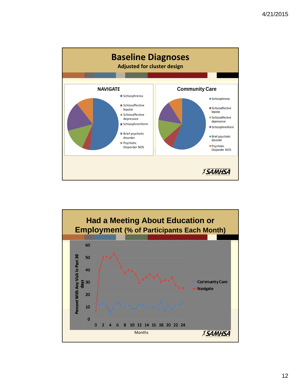

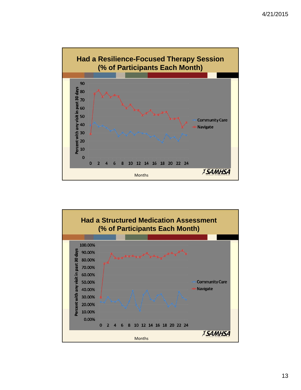

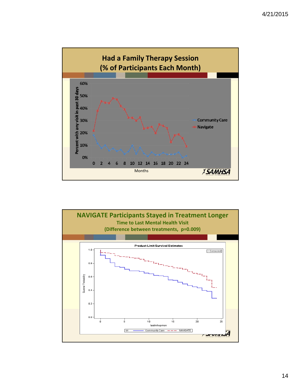

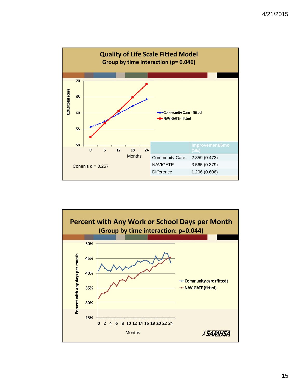

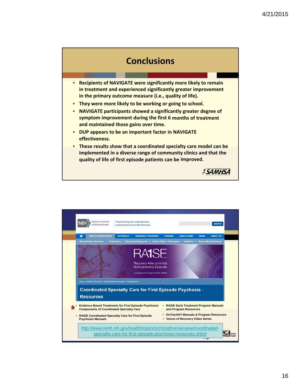#### **Conclusions**

- **Recipients of NAVIGATE were significantly more likely to remain in treatment and experienced significantly greater improvement in the primary outcome measure (i.e., quality of life).**
- **They were more likely to be working or going to school.**
- **NAVIGATE participants showed a significantly greater degree of symptom improvement during the first 6 months of treatment and maintained those gains over time.**
- **DUP appears to be an important factor in NAVIGATE effectiveness.**
- **These results show that a coordinated specialty care model can be implemented in a diverse range of community clinics and that the quality of life of first episode patients can be improved.**

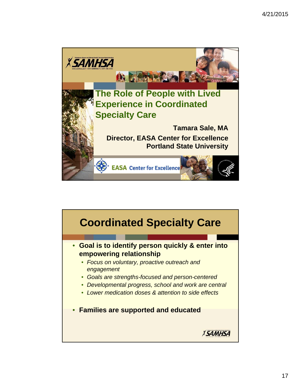

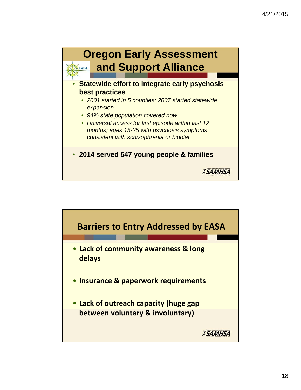

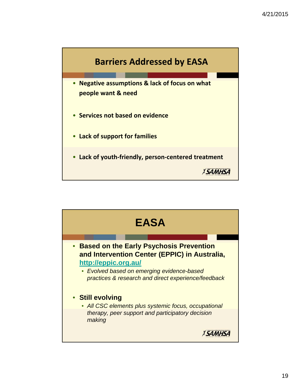

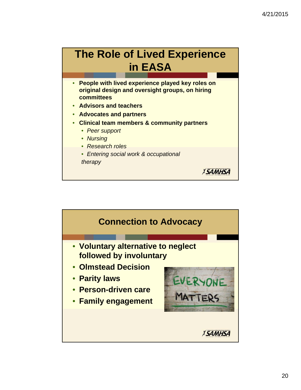## **The Role of Lived Experience in EASA**

• **People with lived experience played key roles on original design and oversight groups, on hiring committees**

- **Advisors and teachers**
- **Advocates and partners**
- **Clinical team members & community partners**
	- *Peer support*
	- *Nursing*
	- *Research roles*
	- *Entering social work & occupational*

*therapy*

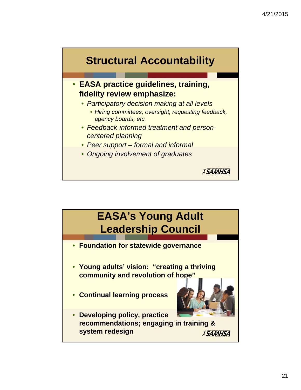

• **EASA practice guidelines, training, fidelity review emphasize:**

- *Participatory decision making at all levels*
	- *Hiring committees, oversight, requesting feedback, agency boards, etc.*

- *Feedback-informed treatment and personcentered planning*
- *Peer support formal and informal*
- *Ongoing involvement of graduates*

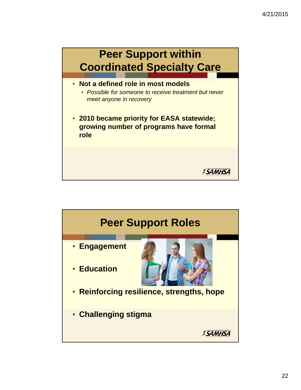

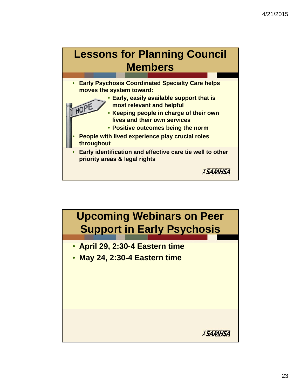

• **Positive outcomes being the norm**

- **People with lived experience play crucial roles throughout**
- **Early identification and effective care tie well to other priority areas & legal rights**

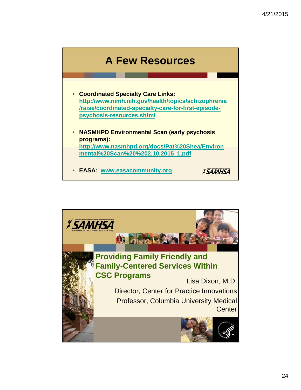

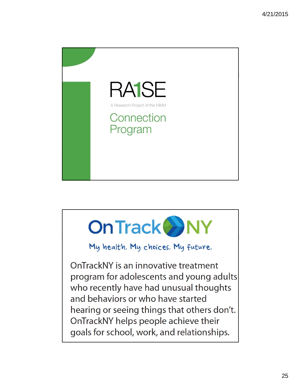



My health. My choices. My future.

OnTrackNY is an innovative treatment program for adolescents and young adults who recently have had unusual thoughts and behaviors or who have started hearing or seeing things that others don't. OnTrackNY helps people achieve their goals for school, work, and relationships.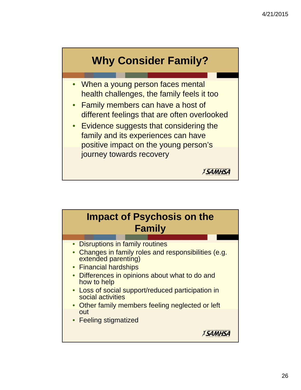

- When a young person faces mental health challenges, the family feels it too
- Family members can have a host of different feelings that are often overlooked
- Evidence suggests that considering the family and its experiences can have positive impact on the young person's journey towards recovery

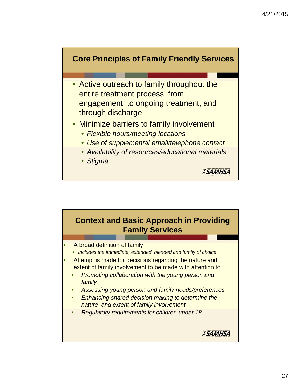

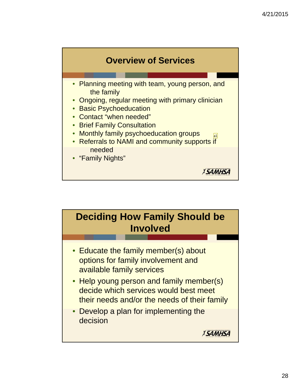

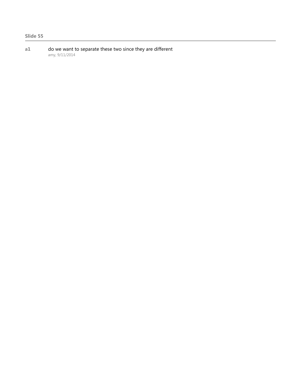**a1** do we want to separate these two since they are different amy, 9/11/2014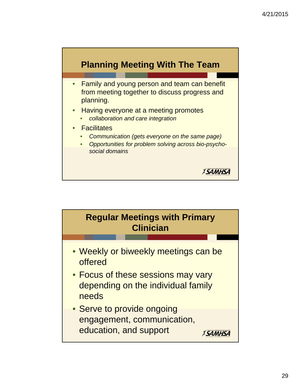

- Family and young person and team can benefit from meeting together to discuss progress and planning.
- Having everyone at a meeting promotes
	- *collaboration and care integration*
- **Facilitates** 
	- *Communication (gets everyone on the same page)*
	- *Opportunities for problem solving across bio-psychosocial domains*

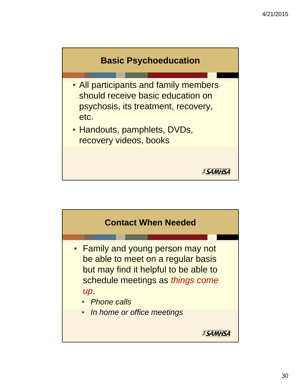

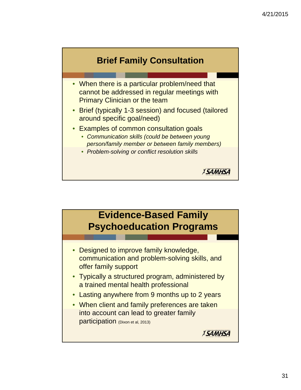





- Typically a structured program, administered by a trained mental health professional
- Lasting anywhere from 9 months up to 2 years
- When client and family preferences are taken into account can lead to greater family participation (Dixon et al, 2013)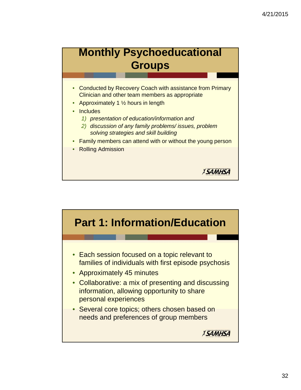#### **Monthly Psychoeducational Groups**

- Conducted by Recovery Coach with assistance from Primary Clinician and other team members as appropriate
- Approximately 1  $\frac{1}{2}$  hours in length
- **Includes** 
	- *1) presentation of education/information and*
	- *2) discussion of any family problems/ issues, problem solving strategies and skill building*
- Family members can attend with or without the young person

*XSAMHSA* 

• Rolling Admission

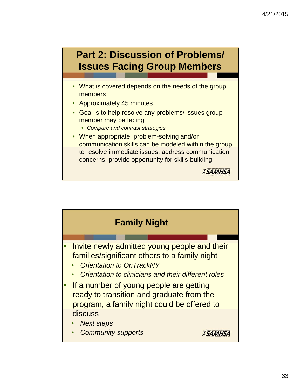

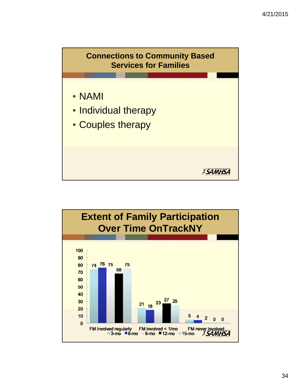

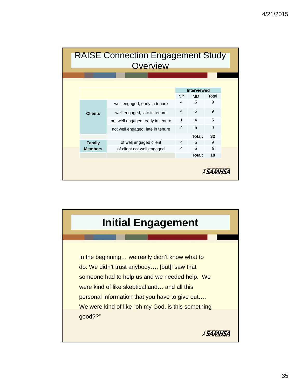|  | <b>RAISE Connection Engagement Study</b><br>Overview |                                   |                                              |        |       |  |  |  |  |
|--|------------------------------------------------------|-----------------------------------|----------------------------------------------|--------|-------|--|--|--|--|
|  |                                                      |                                   |                                              |        |       |  |  |  |  |
|  |                                                      |                                   | <b>Interviewed</b><br><b>NY</b><br><b>MD</b> |        | Total |  |  |  |  |
|  |                                                      |                                   | 4                                            | 5      | 9     |  |  |  |  |
|  | <b>Clients</b>                                       | well engaged, early in tenure     |                                              |        |       |  |  |  |  |
|  |                                                      | well engaged, late in tenure      | $\overline{4}$                               | 5      | 9     |  |  |  |  |
|  |                                                      | not well engaged, early in tenure | 1                                            | 4      | 5     |  |  |  |  |
|  |                                                      | not well engaged, late in tenure  | $\overline{4}$                               | 5      | 9     |  |  |  |  |
|  |                                                      |                                   |                                              | Total: | 32    |  |  |  |  |
|  | Family                                               | of well engaged client            | 4                                            | 5      | 9     |  |  |  |  |
|  | <b>Members</b>                                       | of client not well engaged        | $\overline{\mathbf{4}}$                      | 5      | 9     |  |  |  |  |
|  |                                                      |                                   |                                              | Total: | 18    |  |  |  |  |
|  |                                                      |                                   |                                              |        |       |  |  |  |  |

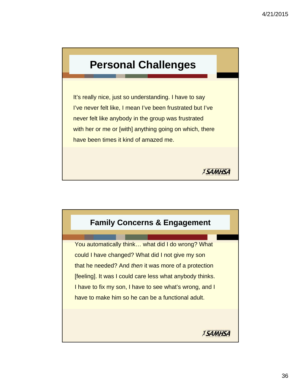#### **Personal Challenges**

It's really nice, just so understanding. I have to say I've never felt like, I mean I've been frustrated but I've never felt like anybody in the group was frustrated with her or me or [with] anything going on which, there have been times it kind of amazed me.

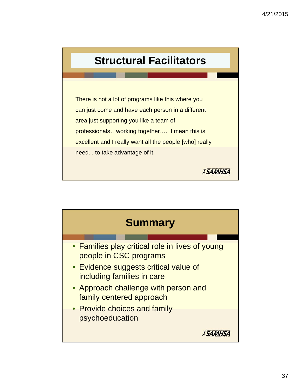## **Structural Facilitators**

There is not a lot of programs like this where you can just come and have each person in a different area just supporting you like a team of professionals…working together…. I mean this is excellent and I really want all the people [who] really need... to take advantage of it.